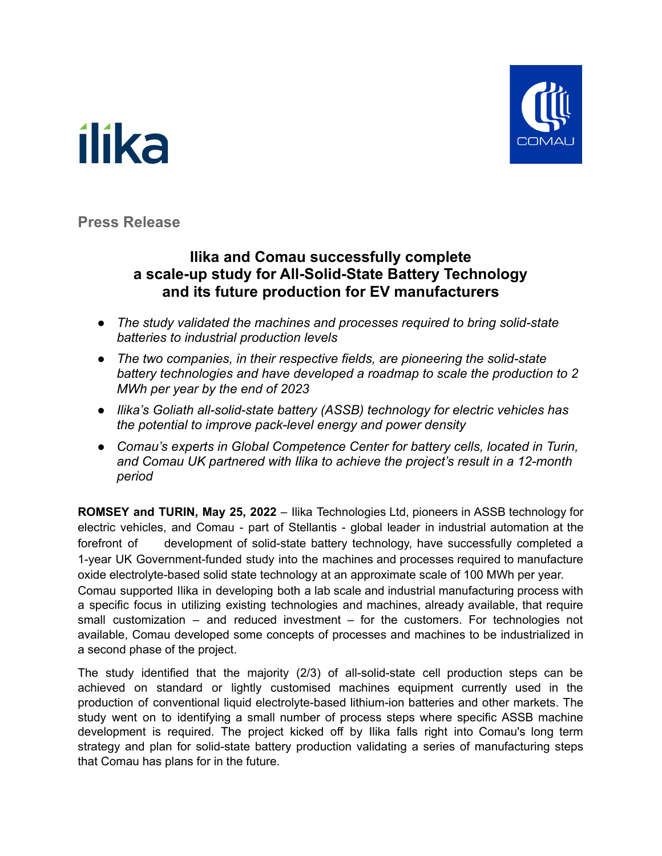



**Press Release**

### **Ilika and Comau successfully complete a scale-up study for All-Solid-State Battery Technology and its future production for EV manufacturers**

- *● The study validated the machines and processes required to bring solid-state batteries to industrial production levels*
- *● The two companies, in their respective fields, are pioneering the solid-state battery technologies and have developed a roadmap to scale the production to 2 MWh per year by the end of 2023*
- *● Ilika's Goliath all-solid-state battery (ASSB) technology for electric vehicles has the potential to improve pack-level energy and power density*
- *● Comau's experts in Global Competence Center for battery cells, located in Turin, and Comau UK partnered with Ilika to achieve the project's result in a 12-month period*

**ROMSEY and TURIN, May 25, 2022** – Ilika Technologies Ltd, pioneers in ASSB technology for electric vehicles, and Comau - part of Stellantis - global leader in industrial automation at the forefront of development of solid-state battery technology, have successfully completed a 1-year UK Government-funded study into the machines and processes required to manufacture oxide electrolyte-based solid state technology at an approximate scale of 100 MWh per year.

Comau supported Ilika in developing both a lab scale and industrial manufacturing process with a specific focus in utilizing existing technologies and machines, already available, that require small customization – and reduced investment – for the customers. For technologies not available, Comau developed some concepts of processes and machines to be industrialized in a second phase of the project.

The study identified that the majority (2/3) of all-solid-state cell production steps can be achieved on standard or lightly customised machines equipment currently used in the production of conventional liquid electrolyte-based lithium-ion batteries and other markets. The study went on to identifying a small number of process steps where specific ASSB machine development is required. The project kicked off by Ilika falls right into Comau's long term strategy and plan for solid-state battery production validating a series of manufacturing steps that Comau has plans for in the future.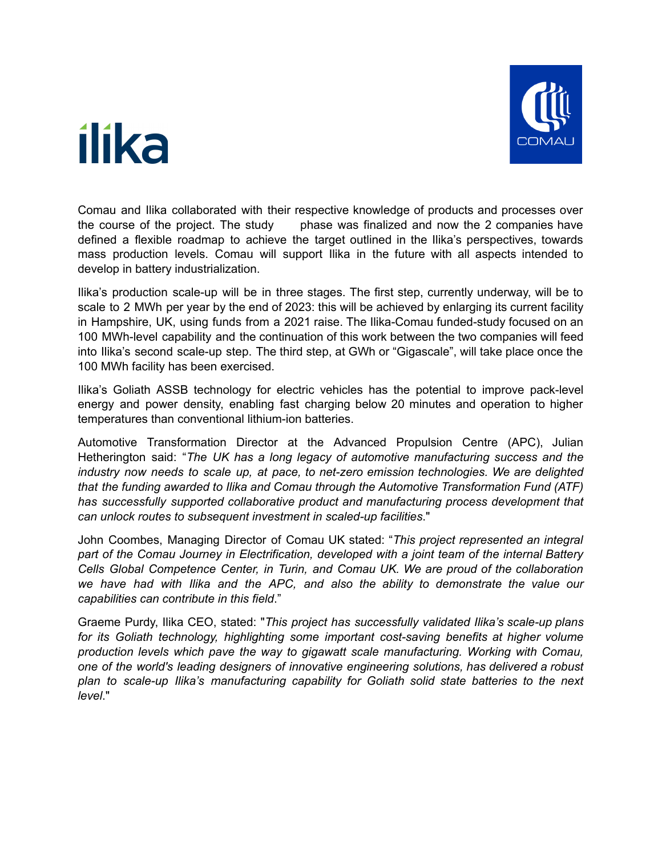### ilika



Comau and Ilika collaborated with their respective knowledge of products and processes over the course of the project. The study phase was finalized and now the 2 companies have defined a flexible roadmap to achieve the target outlined in the Ilika's perspectives, towards mass production levels. Comau will support Ilika in the future with all aspects intended to develop in battery industrialization.

Ilika's production scale-up will be in three stages. The first step, currently underway, will be to scale to 2 MWh per year by the end of 2023: this will be achieved by enlarging its current facility in Hampshire, UK, using funds from a 2021 raise. The Ilika-Comau funded-study focused on an 100 MWh-level capability and the continuation of this work between the two companies will feed into Ilika's second scale-up step. The third step, at GWh or "Gigascale", will take place once the 100 MWh facility has been exercised.

Ilika's Goliath ASSB technology for electric vehicles has the potential to improve pack-level energy and power density, enabling fast charging below 20 minutes and operation to higher temperatures than conventional lithium-ion batteries.

Automotive Transformation Director at the Advanced Propulsion Centre (APC), Julian Hetherington said: "*The UK has a long legacy of automotive manufacturing success and the industry now needs to scale up, at pace, to net-zero emission technologies. We are delighted that the funding awarded to Ilika and Comau through the Automotive Transformation Fund (ATF) has successfully supported collaborative product and manufacturing process development that can unlock routes to subsequent investment in scaled-up facilities*."

John Coombes, Managing Director of Comau UK stated: "*This project represented an integral part of the Comau Journey in Electrification, developed with a joint team of the internal Battery Cells Global Competence Center, in Turin, and Comau UK. We are proud of the collaboration we have had with Ilika and the APC, and also the ability to demonstrate the value our capabilities can contribute in this field*."

Graeme Purdy, Ilika CEO, stated: "*This project has successfully validated Ilika's scale-up plans for its Goliath technology, highlighting some important cost-saving benefits at higher volume production levels which pave the way to gigawatt scale manufacturing. Working with Comau, one of the world's leading designers of innovative engineering solutions, has delivered a robust plan to scale-up Ilika's manufacturing capability for Goliath solid state batteries to the next level*."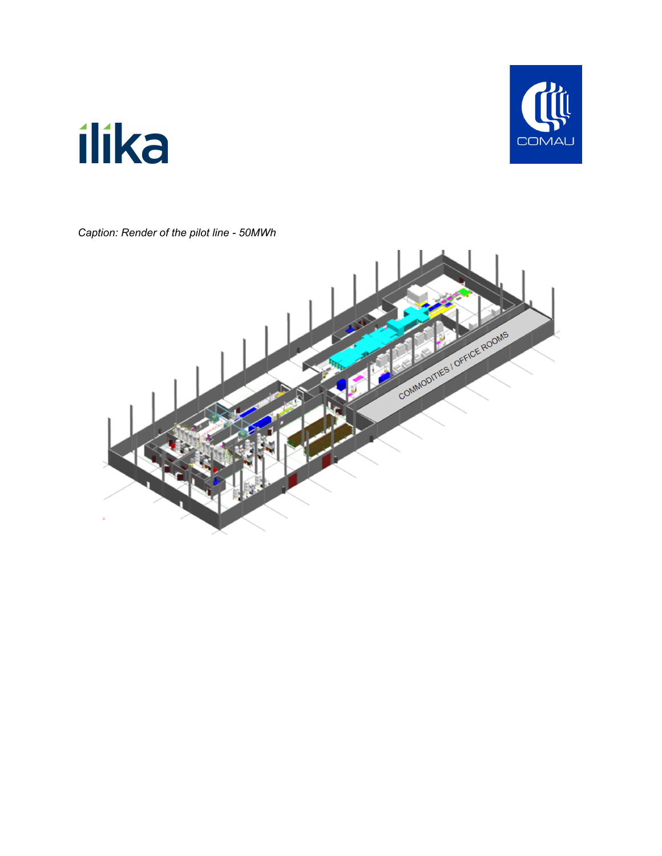# **COMAU**

## ilika

*Caption: Render of the pilot line - 50MWh*